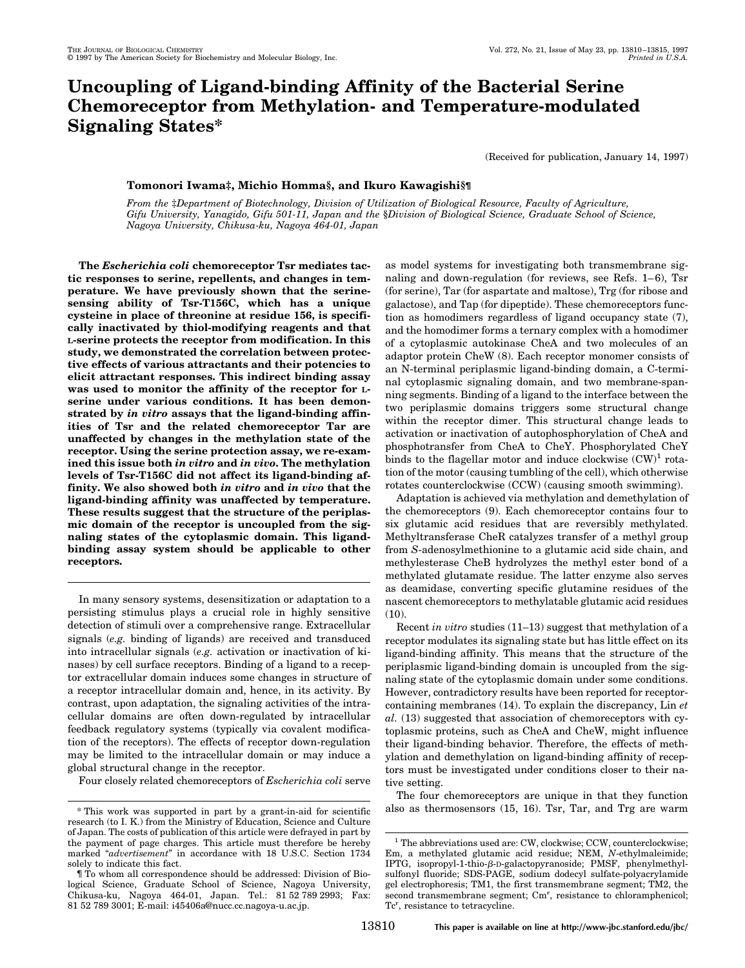# **Uncoupling of Ligand-binding Affinity of the Bacterial Serine Chemoreceptor from Methylation- and Temperature-modulated Signaling States\***

(Received for publication, January 14, 1997)

## **Tomonori Iwama‡, Michio Homma§, and Ikuro Kawagishi§¶**

*From the* ‡*Department of Biotechnology, Division of Utilization of Biological Resource, Faculty of Agriculture, Gifu University, Yanagido, Gifu 501-11, Japan and the* §*Division of Biological Science, Graduate School of Science, Nagoya University, Chikusa-ku, Nagoya 464-01, Japan*

**The** *Escherichia coli* **chemoreceptor Tsr mediates tactic responses to serine, repellents, and changes in temperature. We have previously shown that the serinesensing ability of Tsr-T156C, which has a unique cysteine in place of threonine at residue 156, is specifically inactivated by thiol-modifying reagents and that L-serine protects the receptor from modification. In this study, we demonstrated the correlation between protective effects of various attractants and their potencies to elicit attractant responses. This indirect binding assay was used to monitor the affinity of the receptor for Lserine under various conditions. It has been demonstrated by** *in vitro* **assays that the ligand-binding affinities of Tsr and the related chemoreceptor Tar are unaffected by changes in the methylation state of the receptor. Using the serine protection assay, we re-examined this issue both** *in vitro* **and** *in vivo***. The methylation levels of Tsr-T156C did not affect its ligand-binding affinity. We also showed both** *in vitro* **and** *in vivo* **that the ligand-binding affinity was unaffected by temperature. These results suggest that the structure of the periplasmic domain of the receptor is uncoupled from the signaling states of the cytoplasmic domain. This ligandbinding assay system should be applicable to other receptors.**

In many sensory systems, desensitization or adaptation to a persisting stimulus plays a crucial role in highly sensitive detection of stimuli over a comprehensive range. Extracellular signals (*e.g.* binding of ligands) are received and transduced into intracellular signals (*e.g.* activation or inactivation of kinases) by cell surface receptors. Binding of a ligand to a receptor extracellular domain induces some changes in structure of a receptor intracellular domain and, hence, in its activity. By contrast, upon adaptation, the signaling activities of the intracellular domains are often down-regulated by intracellular feedback regulatory systems (typically via covalent modification of the receptors). The effects of receptor down-regulation may be limited to the intracellular domain or may induce a global structural change in the receptor.

Four closely related chemoreceptors of *Escherichia coli* serve

as model systems for investigating both transmembrane signaling and down-regulation (for reviews, see Refs. 1–6), Tsr (for serine), Tar (for aspartate and maltose), Trg (for ribose and galactose), and Tap (for dipeptide). These chemoreceptors function as homodimers regardless of ligand occupancy state (7), and the homodimer forms a ternary complex with a homodimer of a cytoplasmic autokinase CheA and two molecules of an adaptor protein CheW (8). Each receptor monomer consists of an N-terminal periplasmic ligand-binding domain, a C-terminal cytoplasmic signaling domain, and two membrane-spanning segments. Binding of a ligand to the interface between the two periplasmic domains triggers some structural change within the receptor dimer. This structural change leads to activation or inactivation of autophosphorylation of CheA and phosphotransfer from CheA to CheY. Phosphorylated CheY binds to the flagellar motor and induce clockwise  $(CW)^1$  rotation of the motor (causing tumbling of the cell), which otherwise rotates counterclockwise (CCW) (causing smooth swimming).

Adaptation is achieved via methylation and demethylation of the chemoreceptors (9). Each chemoreceptor contains four to six glutamic acid residues that are reversibly methylated. Methyltransferase CheR catalyzes transfer of a methyl group from *S*-adenosylmethionine to a glutamic acid side chain, and methylesterase CheB hydrolyzes the methyl ester bond of a methylated glutamate residue. The latter enzyme also serves as deamidase, converting specific glutamine residues of the nascent chemoreceptors to methylatable glutamic acid residues  $(10)$ 

Recent *in vitro* studies (11–13) suggest that methylation of a receptor modulates its signaling state but has little effect on its ligand-binding affinity. This means that the structure of the periplasmic ligand-binding domain is uncoupled from the signaling state of the cytoplasmic domain under some conditions. However, contradictory results have been reported for receptorcontaining membranes (14). To explain the discrepancy, Lin *et al.* (13) suggested that association of chemoreceptors with cytoplasmic proteins, such as CheA and CheW, might influence their ligand-binding behavior. Therefore, the effects of methylation and demethylation on ligand-binding affinity of receptors must be investigated under conditions closer to their native setting.

The four chemoreceptors are unique in that they function \* This work was supported in part by a grant-in-aid for scientific also as thermosensors (15, 16). Tsr, Tar, and Trg are warm

research (to I. K.) from the Ministry of Education, Science and Culture of Japan. The costs of publication of this article were defrayed in part by the payment of page charges. This article must therefore be hereby marked "*advertisement*" in accordance with 18 U.S.C. Section 1734 solely to indicate this fact.

<sup>¶</sup> To whom all correspondence should be addressed: Division of Biological Science, Graduate School of Science, Nagoya University, Chikusa-ku, Nagoya 464-01, Japan. Tel.: 81 52 789 2993; Fax: 81 52 789 3001; E-mail: i45406a@nucc.cc.nagoya-u.ac.jp.

<sup>&</sup>lt;sup>1</sup> The abbreviations used are: CW, clockwise; CCW, counterclockwise; Em, a methylated glutamic acid residue; NEM, *N*-ethylmaleimide; IPTG, isopropyl-1-thio- $\beta$ -D-galactopyranoside; PMSF, phenylmethylsulfonyl fluoride; SDS-PAGE, sodium dodecyl sulfate-polyacrylamide gel electrophoresis; TM1, the first transmembrane segment; TM2, the second transmembrane segment; Cm<sup>r</sup>, resistance to chloramphenicol; Tc<sup>r</sup>, resistance to tetracycline.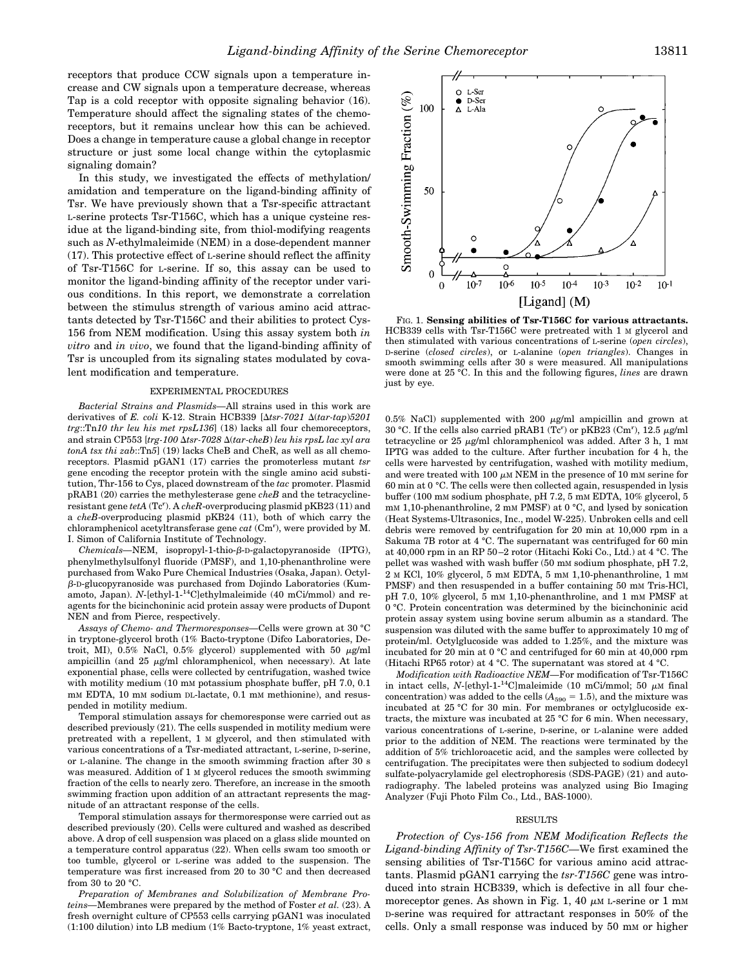receptors that produce CCW signals upon a temperature increase and CW signals upon a temperature decrease, whereas Tap is a cold receptor with opposite signaling behavior (16). Temperature should affect the signaling states of the chemoreceptors, but it remains unclear how this can be achieved. Does a change in temperature cause a global change in receptor structure or just some local change within the cytoplasmic signaling domain?

In this study, we investigated the effects of methylation/ amidation and temperature on the ligand-binding affinity of Tsr. We have previously shown that a Tsr-specific attractant L-serine protects Tsr-T156C, which has a unique cysteine residue at the ligand-binding site, from thiol-modifying reagents such as *N*-ethylmaleimide (NEM) in a dose-dependent manner (17). This protective effect of L-serine should reflect the affinity of Tsr-T156C for L-serine. If so, this assay can be used to monitor the ligand-binding affinity of the receptor under various conditions. In this report, we demonstrate a correlation between the stimulus strength of various amino acid attractants detected by Tsr-T156C and their abilities to protect Cys-156 from NEM modification. Using this assay system both *in vitro* and *in vivo*, we found that the ligand-binding affinity of Tsr is uncoupled from its signaling states modulated by covalent modification and temperature.

## EXPERIMENTAL PROCEDURES

*Bacterial Strains and Plasmids—*All strains used in this work are derivatives of *E. coli* K-12. Strain HCB339 [ $\Delta t$ sr-7021  $\Delta (tar-tan)$ *5201 trg*::Tn*10 thr leu his met rpsL136*] (18) lacks all four chemoreceptors, and strain CP553 [*trg-100* D*tsr-7028* D(*tar-cheB*) *leu his rpsL lac xyl ara tonA tsx thi zab*::Tn*5*] (19) lacks CheB and CheR, as well as all chemoreceptors. Plasmid pGAN1 (17) carries the promoterless mutant *tsr* gene encoding the receptor protein with the single amino acid substitution, Thr-156 to Cys, placed downstream of the *tac* promoter. Plasmid pRAB1 (20) carries the methylesterase gene *cheB* and the tetracyclineresistant gene *tetA* (Tc<sup>r</sup>). A *cheR*-overproducing plasmid pKB23 (11) and a *cheB*-overproducing plasmid pKB24 (11), both of which carry the chloramphenicol acetyltransferase gene *cat* (Cm<sup>r</sup> ), were provided by M. I. Simon of California Institute of Technology.

*Chemicals*—NEM, isopropyl-1-thio-β-D-galactopyranoside (IPTG), phenylmethylsulfonyl fluoride (PMSF), and 1,10-phenanthroline were purchased from Wako Pure Chemical Industries (Osaka, Japan). Octylb-D-glucopyranoside was purchased from Dojindo Laboratories (Kumamoto, Japan). *N*-[ethyl-1-14C]ethylmaleimide (40 mCi/mmol) and reagents for the bicinchoninic acid protein assay were products of Dupont NEN and from Pierce, respectively.

*Assays of Chemo- and Thermoresponses—*Cells were grown at 30 °C in tryptone-glycerol broth (1% Bacto-tryptone (Difco Laboratories, Detroit, MI), 0.5% NaCl, 0.5% glycerol) supplemented with 50  $\mu$ g/ml ampicillin (and  $25 \mu g/ml$  chloramphenicol, when necessary). At late exponential phase, cells were collected by centrifugation, washed twice with motility medium (10 mM potassium phosphate buffer, pH 7.0, 0.1 mM EDTA, 10 mM sodium DL-lactate, 0.1 mM methionine), and resuspended in motility medium.

Temporal stimulation assays for chemoresponse were carried out as described previously (21). The cells suspended in motility medium were pretreated with a repellent, 1 M glycerol, and then stimulated with various concentrations of a Tsr-mediated attractant, L-serine, D-serine, or L-alanine. The change in the smooth swimming fraction after 30 s was measured. Addition of 1 M glycerol reduces the smooth swimming fraction of the cells to nearly zero. Therefore, an increase in the smooth swimming fraction upon addition of an attractant represents the magnitude of an attractant response of the cells.

Temporal stimulation assays for thermoresponse were carried out as described previously (20). Cells were cultured and washed as described above. A drop of cell suspension was placed on a glass slide mounted on a temperature control apparatus (22). When cells swam too smooth or too tumble, glycerol or L-serine was added to the suspension. The temperature was first increased from 20 to 30 °C and then decreased from 30 to 20 °C.

*Preparation of Membranes and Solubilization of Membrane Proteins—*Membranes were prepared by the method of Foster *et al.* (23). A fresh overnight culture of CP553 cells carrying pGAN1 was inoculated (1:100 dilution) into LB medium (1% Bacto-tryptone, 1% yeast extract,



FIG. 1. **Sensing abilities of Tsr-T156C for various attractants.** HCB339 cells with Tsr-T156C were pretreated with 1 M glycerol and then stimulated with various concentrations of L-serine (*open circles*), D-serine (*closed circles*), or L-alanine (*open triangles*). Changes in smooth swimming cells after 30 s were measured. All manipulations were done at 25 °C. In this and the following figures, *lines* are drawn just by eye.

0.5% NaCl) supplemented with 200  $\mu$ g/ml ampicillin and grown at 30 °C. If the cells also carried pRAB1 (Tc<sup>r</sup>) or pKB23 (Cm<sup>r</sup>), 12.5  $\mu$ g/ml tetracycline or 25  $\mu$ g/ml chloramphenicol was added. After 3 h, 1 mM IPTG was added to the culture. After further incubation for 4 h, the cells were harvested by centrifugation, washed with motility medium, and were treated with 100  $\mu$ M NEM in the presence of 10 mM serine for 60 min at 0 °C. The cells were then collected again, resuspended in lysis buffer (100 mM sodium phosphate, pH 7.2, 5 mM EDTA, 10% glycerol, 5 mM 1,10-phenanthroline, 2 mM PMSF) at 0 °C, and lysed by sonication (Heat Systems-Ultrasonics, Inc., model W-225). Unbroken cells and cell debris were removed by centrifugation for 20 min at 10,000 rpm in a Sakuma 7B rotor at 4 °C. The supernatant was centrifuged for 60 min at 40,000 rpm in an RP 50–2 rotor (Hitachi Koki Co., Ltd.) at 4 °C. The pellet was washed with wash buffer (50 mM sodium phosphate, pH 7.2, 2 M KCl, 10% glycerol, 5 mM EDTA, 5 mM 1,10-phenanthroline, 1 mM PMSF) and then resuspended in a buffer containing 50 mm Tris-HCl, pH 7.0, 10% glycerol, 5 mM 1,10-phenanthroline, and 1 mM PMSF at 0 °C. Protein concentration was determined by the bicinchoninic acid protein assay system using bovine serum albumin as a standard. The suspension was diluted with the same buffer to approximately 10 mg of protein/ml. Octylglucoside was added to 1.25%, and the mixture was incubated for 20 min at 0 °C and centrifuged for 60 min at 40,000 rpm (Hitachi RP65 rotor) at 4 °C. The supernatant was stored at 4 °C.

*Modification with Radioactive NEM—*For modification of Tsr-T156C in intact cells, *N*-[ethyl-1-<sup>14</sup>C]maleimide (10 mCi/mmol; 50  $\mu$ M final concentration) was added to the cells  $(A_{590} = 1.5)$ , and the mixture was incubated at 25 °C for 30 min. For membranes or octylglucoside extracts, the mixture was incubated at 25 °C for 6 min. When necessary, various concentrations of L-serine, D-serine, or L-alanine were added prior to the addition of NEM. The reactions were terminated by the addition of 5% trichloroacetic acid, and the samples were collected by centrifugation. The precipitates were then subjected to sodium dodecyl sulfate-polyacrylamide gel electrophoresis (SDS-PAGE) (21) and autoradiography. The labeled proteins was analyzed using Bio Imaging Analyzer (Fuji Photo Film Co., Ltd., BAS-1000).

### RESULTS

*Protection of Cys-156 from NEM Modification Reflects the Ligand-binding Affinity of Tsr-T156C—*We first examined the sensing abilities of Tsr-T156C for various amino acid attractants. Plasmid pGAN1 carrying the *tsr-T156C* gene was introduced into strain HCB339, which is defective in all four chemoreceptor genes. As shown in Fig. 1, 40  $\mu$ M L-serine or 1 mM D-serine was required for attractant responses in 50% of the cells. Only a small response was induced by 50 mM or higher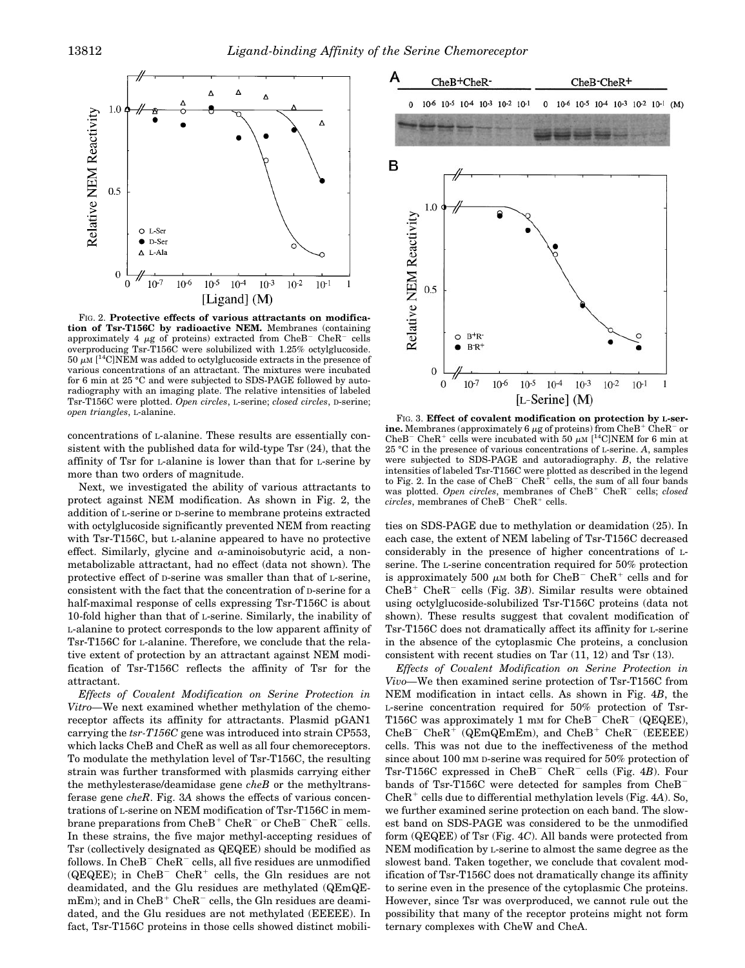

FIG. 2. **Protective effects of various attractants on modification of Tsr-T156C by radioactive NEM.** Membranes (containing approximately 4  $\mu$ g of proteins) extracted from CheB<sup>-</sup> CheR<sup>-</sup> cells overproducing Tsr-T156C were solubilized with 1.25% octylglucoside.  $50 \mu$ M  $[$ <sup>14</sup>C]NEM was added to octylglucoside extracts in the presence of various concentrations of an attractant. The mixtures were incubated for 6 min at 25 °C and were subjected to SDS-PAGE followed by autoradiography with an imaging plate. The relative intensities of labeled Tsr-T156C were plotted. *Open circles*, L-serine; *closed circles*, D-serine; *open triangles*, L-alanine. **FIG. 3. Effect of covalent modification on protection by L-ser-**

concentrations of L-alanine. These results are essentially consistent with the published data for wild-type Tsr (24), that the affinity of Tsr for L-alanine is lower than that for L-serine by more than two orders of magnitude.

Next, we investigated the ability of various attractants to protect against NEM modification. As shown in Fig. 2, the addition of L-serine or D-serine to membrane proteins extracted with octylglucoside significantly prevented NEM from reacting with Tsr-T156C, but L-alanine appeared to have no protective effect. Similarly, glycine and  $\alpha$ -aminoisobutyric acid, a nonmetabolizable attractant, had no effect (data not shown). The protective effect of D-serine was smaller than that of L-serine, consistent with the fact that the concentration of D-serine for a half-maximal response of cells expressing Tsr-T156C is about 10-fold higher than that of L-serine. Similarly, the inability of L-alanine to protect corresponds to the low apparent affinity of Tsr-T156C for L-alanine. Therefore, we conclude that the relative extent of protection by an attractant against NEM modification of Tsr-T156C reflects the affinity of Tsr for the attractant.

*Effects of Covalent Modification on Serine Protection in Vitro—*We next examined whether methylation of the chemoreceptor affects its affinity for attractants. Plasmid pGAN1 carrying the *tsr-T156C* gene was introduced into strain CP553, which lacks CheB and CheR as well as all four chemoreceptors. To modulate the methylation level of Tsr-T156C, the resulting strain was further transformed with plasmids carrying either the methylesterase/deamidase gene *cheB* or the methyltransferase gene *cheR*. Fig. 3*A* shows the effects of various concentrations of L-serine on NEM modification of Tsr-T156C in membrane preparations from  $CheB^+ CheR^-$  or  $CheB^- CheR^-$  cells. In these strains, the five major methyl-accepting residues of Tsr (collectively designated as QEQEE) should be modified as follows. In  $CheB^-$  Che $R^-$  cells, all five residues are unmodified ( $QEQEE$ ); in  $CheB^-$  CheR<sup>+</sup> cells, the Gln residues are not deamidated, and the Glu residues are methylated (QEmQE $mEm$ ; and in  $CheB^+ CheR^-$  cells, the Gln residues are deamidated, and the Glu residues are not methylated (EEEEE). In fact, Tsr-T156C proteins in those cells showed distinct mobili-



**ine.** Membranes (approximately 6  $\mu$ g of proteins) from CheB<sup>+</sup> CheR<sup>-</sup> or CheB<sup>-</sup> CheR<sup>+</sup> cells were incubated with 50  $\mu$ M [<sup>14</sup>C]NEM for 6 min at 25 °C in the presence of various concentrations of L-serine. *A*, samples were subjected to SDS-PAGE and autoradiography. *B*, the relative intensities of labeled Tsr-T156C were plotted as described in the legend to Fig. 2. In the case of  $CheB^-$  Che $R^+$  cells, the sum of all four bands was plotted. *Open circles*, membranes of CheB<sup>+</sup> CheR<sup>-</sup> cells; *closed*  $circles$ , membranes of  $CheB^ CheR^+$  cells.

ties on SDS-PAGE due to methylation or deamidation (25). In each case, the extent of NEM labeling of Tsr-T156C decreased considerably in the presence of higher concentrations of Lserine. The L-serine concentration required for 50% protection is approximately 500  $\mu$ M both for CheB<sup>-</sup> CheR<sup>+</sup> cells and for  $CheB<sup>+</sup> CheR<sup>-</sup>$  cells (Fig. 3*B*). Similar results were obtained using octylglucoside-solubilized Tsr-T156C proteins (data not shown). These results suggest that covalent modification of Tsr-T156C does not dramatically affect its affinity for L-serine in the absence of the cytoplasmic Che proteins, a conclusion consistent with recent studies on Tar  $(11, 12)$  and Tsr  $(13)$ .

*Effects of Covalent Modification on Serine Protection in Vivo—*We then examined serine protection of Tsr-T156C from NEM modification in intact cells. As shown in Fig. 4*B*, the L-serine concentration required for 50% protection of Tsr-T156C was approximately 1 mm for  $CheB^-$  CheR<sup>-</sup> (QEQEE),  $CheB^-$  CheR<sup>+</sup> (QEmQEmEm), and CheB<sup>+</sup> CheR<sup>-</sup> (EEEEE) cells. This was not due to the ineffectiveness of the method since about 100 mM D-serine was required for 50% protection of Tsr-T156C expressed in  $CheB^-$  CheR<sup>-</sup> cells (Fig. 4*B*). Four bands of Tsr-T156C were detected for samples from CheB<sup>-</sup>  $CheR<sup>+</sup>$  cells due to differential methylation levels (Fig. 4*A*). So, we further examined serine protection on each band. The slowest band on SDS-PAGE was considered to be the unmodified form (QEQEE) of Tsr (Fig. 4*C*). All bands were protected from NEM modification by L-serine to almost the same degree as the slowest band. Taken together, we conclude that covalent modification of Tsr-T156C does not dramatically change its affinity to serine even in the presence of the cytoplasmic Che proteins. However, since Tsr was overproduced, we cannot rule out the possibility that many of the receptor proteins might not form ternary complexes with CheW and CheA.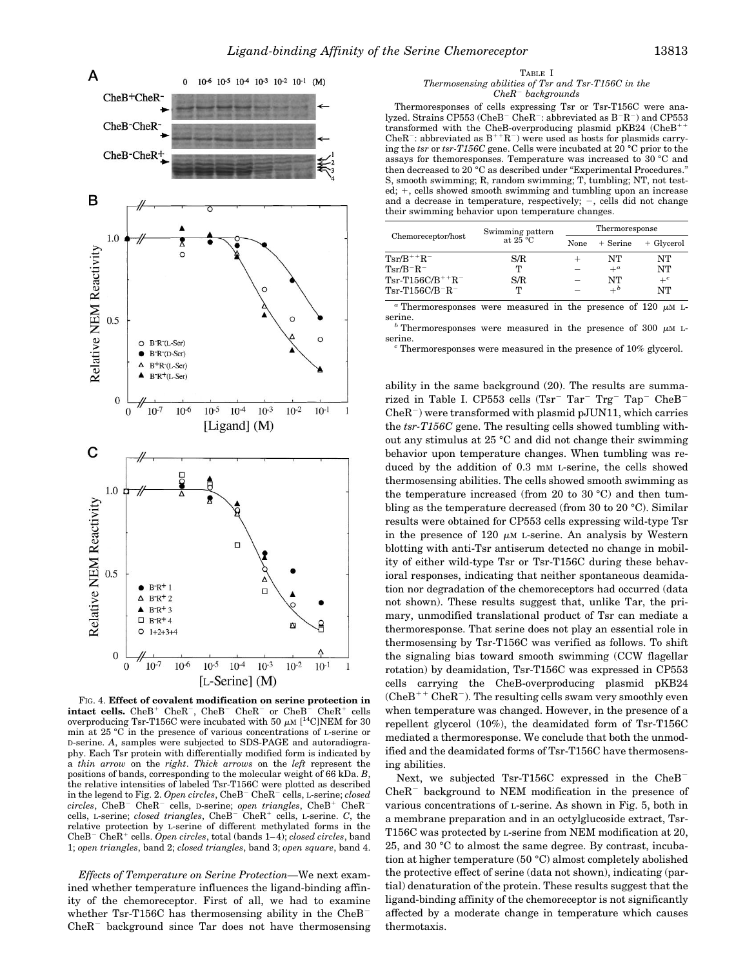

FIG. 4. **Effect of covalent modification on serine protection in intact cells.** CheB<sup>+</sup> CheR<sup>-</sup>, CheB<sup>-</sup> CheR<sup>-</sup> or CheB<sup>-</sup> CheR<sup>+</sup> cells overproducing Tsr-T156C were incubated with 50  $\mu$ M [<sup>14</sup>C]NEM for 30 min at 25 °C in the presence of various concentrations of L-serine or D-serine. *A*, samples were subjected to SDS-PAGE and autoradiography. Each Tsr protein with differentially modified form is indicated by a *thin arrow* on the *right*. *Thick arrows* on the *left* represent the positions of bands, corresponding to the molecular weight of 66 kDa. *B*, the relative intensities of labeled Tsr-T156C were plotted as described in the legend to Fig. 2. *Open circles*, CheB<sup>-</sup> CheR<sup>-</sup> cells, L-serine; *closed circles*, CheB<sup>-</sup> CheR<sup>-</sup> cells, D-serine; *open triangles*, CheB<sup>+</sup> CheR<sup>-</sup> cells, L-serine; *closed triangles*, CheB<sup>-</sup> CheR<sup>+</sup> cells, L-serine. *C*, the relative protection by L-serine of different methylated forms in the CheB<sup>-</sup> CheR<sup>+</sup> cells. *Open circles*, total (bands 1–4); *closed circles*, band 1; *open triangles*, band 2; *closed triangles*, band 3; *open square*, band 4.

*Effects of Temperature on Serine Protection—*We next examined whether temperature influences the ligand-binding affinity of the chemoreceptor. First of all, we had to examine whether Tsr-T156C has thermosensing ability in the CheB<sup>-</sup>  $CheR^-$  background since Tar does not have thermosensing

#### TABLE I *Thermosensing abilities of Tsr and Tsr-T156C in the CheR*<sup>2</sup> *backgrounds*

Thermoresponses of cells expressing Tsr or Tsr-T156C were analyzed. Strains CP553 (CheB<sup>-</sup> CheR<sup>-</sup>: abbreviated as  $B^-R^-$ ) and CP553 transformed with the CheB-overproducing plasmid pKB24 (CheB<sup>+</sup> CheR<sup>-</sup>: abbreviated as  $B^{++}R^-$ ) were used as hosts for plasmids carrying the *tsr* or *tsr-T156C* gene. Cells were incubated at 20 °C prior to the assays for themoresponses. Temperature was increased to 30 °C and then decreased to 20 °C as described under "Experimental Procedures." S, smooth swimming; R, random swimming; T, tumbling; NT, not tested;  $+$ , cells showed smooth swimming and tumbling upon an increase and a decrease in temperature, respectively;  $-$ , cells did not change their swimming behavior upon temperature changes.

| Chemoreceptor/host                         | Swimming pattern<br>at $25 \text{ °C}$ | Thermoresponse |              |            |
|--------------------------------------------|----------------------------------------|----------------|--------------|------------|
|                                            |                                        | None           | $+$ Serine   | + Glycerol |
| $\rm Tsr/B^{++}R^-$                        | S/R                                    |                | NT           | NT         |
| $\mathrm{Tr}$ / $\mathrm{B}^-\mathrm{R}^-$ | т                                      |                | $+^{\alpha}$ | NT         |
| $Tsr$ -T156C/B $^{++}R^-$                  | S/R                                    |                | NT           | $+^c$      |
| ${\rm Tsr\text{-}T156C/B^{-}R^{-}}$        | ጥ                                      |                | $+^b$        | NT         |

 $a$ <sup>a</sup> Thermoresponses were measured in the presence of 120  $\mu$ M L-serine.

 $^b$  Thermores<br>ponses were measured in the presence of 300  $\,\mu\mathrm{m}$  Lserine.<br><sup>*c*</sup> Thermoresponses were measured in the presence of 10% glycerol.

ability in the same background (20). The results are summarized in Table I. CP553 cells (Tsr<sup>-</sup> Tar<sup>-</sup> Trg<sup>-</sup> Tap<sup>-</sup> CheB<sup>2</sup>  $CheR^-$ ) were transformed with plasmid pJUN11, which carries the *tsr-T156C* gene. The resulting cells showed tumbling without any stimulus at 25 °C and did not change their swimming behavior upon temperature changes. When tumbling was reduced by the addition of 0.3 mm L-serine, the cells showed thermosensing abilities. The cells showed smooth swimming as the temperature increased (from 20 to 30 °C) and then tumbling as the temperature decreased (from 30 to 20 °C). Similar results were obtained for CP553 cells expressing wild-type Tsr in the presence of 120  $\mu$ M L-serine. An analysis by Western blotting with anti-Tsr antiserum detected no change in mobility of either wild-type Tsr or Tsr-T156C during these behavioral responses, indicating that neither spontaneous deamidation nor degradation of the chemoreceptors had occurred (data not shown). These results suggest that, unlike Tar, the primary, unmodified translational product of Tsr can mediate a thermoresponse. That serine does not play an essential role in thermosensing by Tsr-T156C was verified as follows. To shift the signaling bias toward smooth swimming (CCW flagellar rotation) by deamidation, Tsr-T156C was expressed in CP553 cells carrying the CheB-overproducing plasmid pKB24  $(CheB<sup>++</sup> CheR<sup>-</sup>)$ . The resulting cells swam very smoothly even when temperature was changed. However, in the presence of a repellent glycerol (10%), the deamidated form of Tsr-T156C mediated a thermoresponse. We conclude that both the unmodified and the deamidated forms of Tsr-T156C have thermosensing abilities.

Next, we subjected Tsr-T156C expressed in the CheB<sup>-</sup>  $CheR^-$  background to NEM modification in the presence of various concentrations of L-serine. As shown in Fig. 5, both in a membrane preparation and in an octylglucoside extract, Tsr-T156C was protected by L-serine from NEM modification at 20, 25, and 30 °C to almost the same degree. By contrast, incubation at higher temperature (50 °C) almost completely abolished the protective effect of serine (data not shown), indicating (partial) denaturation of the protein. These results suggest that the ligand-binding affinity of the chemoreceptor is not significantly affected by a moderate change in temperature which causes thermotaxis.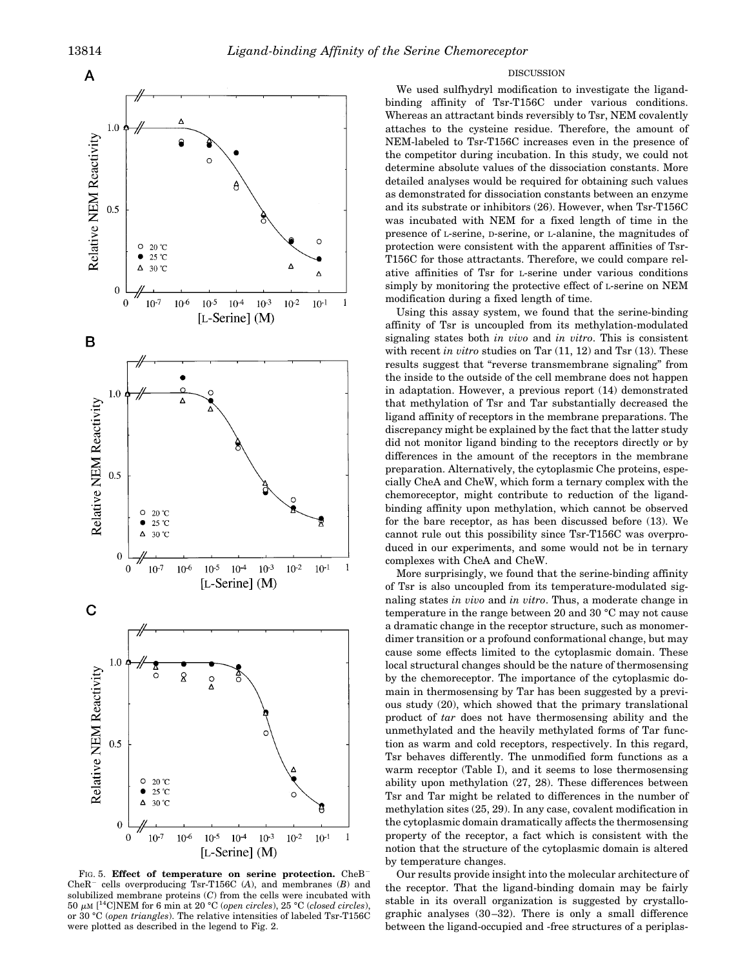

FIG. 5. **Effect of temperature on serine protection.** CheB CheR<sup>-</sup> cells overproducing Tsr-T156C  $(A)$ , and membranes  $(B)$  and solubilized membrane proteins (*C*) from the cells were incubated with 50 <sup>m</sup>M [ 14C]NEM for 6 min at 20 °C (*open circles*), 25 °C (*closed circles*), or 30 °C (*open triangles*). The relative intensities of labeled Tsr-T156C were plotted as described in the legend to Fig. 2.

# DISCUSSION

We used sulfhydryl modification to investigate the ligandbinding affinity of Tsr-T156C under various conditions. Whereas an attractant binds reversibly to Tsr, NEM covalently attaches to the cysteine residue. Therefore, the amount of NEM-labeled to Tsr-T156C increases even in the presence of the competitor during incubation. In this study, we could not determine absolute values of the dissociation constants. More detailed analyses would be required for obtaining such values as demonstrated for dissociation constants between an enzyme and its substrate or inhibitors (26). However, when Tsr-T156C was incubated with NEM for a fixed length of time in the presence of L-serine, D-serine, or L-alanine, the magnitudes of protection were consistent with the apparent affinities of Tsr-T156C for those attractants. Therefore, we could compare relative affinities of Tsr for L-serine under various conditions simply by monitoring the protective effect of L-serine on NEM modification during a fixed length of time.

Using this assay system, we found that the serine-binding affinity of Tsr is uncoupled from its methylation-modulated signaling states both *in vivo* and *in vitro*. This is consistent with recent *in vitro* studies on Tar (11, 12) and Tsr (13). These results suggest that "reverse transmembrane signaling" from the inside to the outside of the cell membrane does not happen in adaptation. However, a previous report (14) demonstrated that methylation of Tsr and Tar substantially decreased the ligand affinity of receptors in the membrane preparations. The discrepancy might be explained by the fact that the latter study did not monitor ligand binding to the receptors directly or by differences in the amount of the receptors in the membrane preparation. Alternatively, the cytoplasmic Che proteins, especially CheA and CheW, which form a ternary complex with the chemoreceptor, might contribute to reduction of the ligandbinding affinity upon methylation, which cannot be observed for the bare receptor, as has been discussed before (13). We cannot rule out this possibility since Tsr-T156C was overproduced in our experiments, and some would not be in ternary complexes with CheA and CheW.

More surprisingly, we found that the serine-binding affinity of Tsr is also uncoupled from its temperature-modulated signaling states *in vivo* and *in vitro*. Thus, a moderate change in temperature in the range between 20 and 30 °C may not cause a dramatic change in the receptor structure, such as monomerdimer transition or a profound conformational change, but may cause some effects limited to the cytoplasmic domain. These local structural changes should be the nature of thermosensing by the chemoreceptor. The importance of the cytoplasmic domain in thermosensing by Tar has been suggested by a previous study (20), which showed that the primary translational product of *tar* does not have thermosensing ability and the unmethylated and the heavily methylated forms of Tar function as warm and cold receptors, respectively. In this regard, Tsr behaves differently. The unmodified form functions as a warm receptor (Table I), and it seems to lose thermosensing ability upon methylation (27, 28). These differences between Tsr and Tar might be related to differences in the number of methylation sites (25, 29). In any case, covalent modification in the cytoplasmic domain dramatically affects the thermosensing property of the receptor, a fact which is consistent with the notion that the structure of the cytoplasmic domain is altered by temperature changes.

Our results provide insight into the molecular architecture of the receptor. That the ligand-binding domain may be fairly stable in its overall organization is suggested by crystallographic analyses (30–32). There is only a small difference between the ligand-occupied and -free structures of a periplas